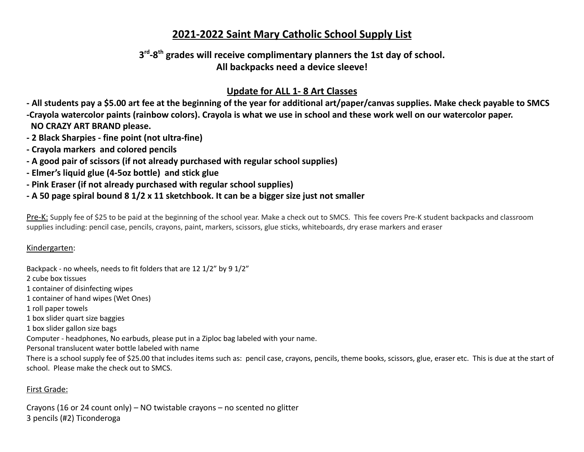# **2021-2022 Saint Mary Catholic School Supply List**

## **3 rd -8 th grades will receive complimentary planners the 1st day of school. All backpacks need a device sleeve!**

## **Update for ALL 1- 8 Art Classes**

- All students pay a \$5.00 art fee at the beginning of the year for additional art/paper/canvas supplies. Make check payable to SMCS

-Crayola watercolor paints (rainbow colors). Crayola is what we use in school and these work well on our watercolor paper. **NO CRAZY ART BRAND please.**

- **- 2 Black Sharpies - fine point (not ultra-fine)**
- **- Crayola markers and colored pencils**
- **- A good pair of scissors (if not already purchased with regular school supplies)**
- **- Elmer's liquid glue (4-5oz bottle) and stick glue**
- **- Pink Eraser (if not already purchased with regular school supplies)**
- A 50 page spiral bound 8 1/2 x 11 sketchbook. It can be a bigger size just not smaller

Pre-K: Supply fee of \$25 to be paid at the beginning of the school year. Make a check out to SMCS. This fee covers Pre-K student backpacks and classroom supplies including: pencil case, pencils, crayons, paint, markers, scissors, glue sticks, whiteboards, dry erase markers and eraser

#### Kindergarten:

Backpack - no wheels, needs to fit folders that are 12 1/2" by 9 1/2" 2 cube box tissues 1 container of disinfecting wipes 1 container of hand wipes (Wet Ones) 1 roll paper towels 1 box slider quart size baggies 1 box slider gallon size bags Computer - headphones, No earbuds, please put in a Ziploc bag labeled with your name. Personal translucent water bottle labeled with name There is a school supply fee of \$25.00 that includes items such as: pencil case, crayons, pencils, theme books, scissors, glue, eraser etc. This is due at the start of school. Please make the check out to SMCS.

#### First Grade:

Crayons (16 or 24 count only) – NO twistable crayons – no scented no glitter 3 pencils (#2) Ticonderoga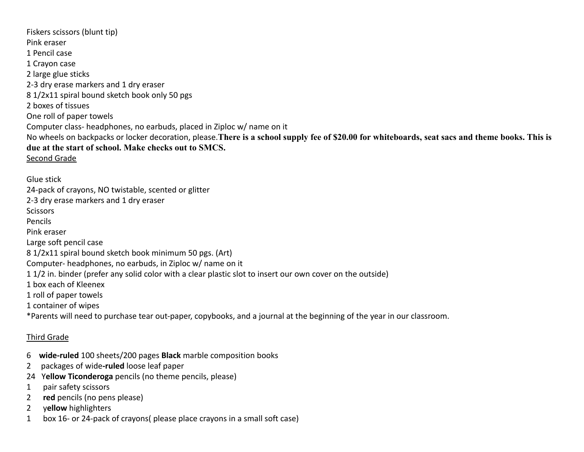Fiskers scissors (blunt tip) Pink eraser 1 Pencil case 1 Crayon case 2 large glue sticks 2-3 dry erase markers and 1 dry eraser 8 1/2x11 spiral bound sketch book only 50 pgs 2 boxes of tissues One roll of paper towels Computer class- headphones, no earbuds, placed in Ziploc w/ name on it No wheels on backpacks or locker decoration, please.**There is a school supply fee of \$20.00 for whiteboards, seat sacs and theme books. This is due at the start of school. Make checks out to SMCS.** Second Grade

Glue stick 24-pack of crayons, NO twistable, scented or glitter 2-3 dry erase markers and 1 dry eraser **Scissors** Pencils Pink eraser Large soft pencil case 8 1/2x11 spiral bound sketch book minimum 50 pgs. (Art) Computer- headphones, no earbuds, in Ziploc w/ name on it 1 1/2 in. binder (prefer any solid color with a clear plastic slot to insert our own cover on the outside) 1 box each of Kleenex 1 roll of paper towels 1 container of wipes \*Parents will need to purchase tear out-paper, copybooks, and a journal at the beginning of the year in our classroom.

#### Third Grade

- 6 **wide-ruled** 100 sheets/200 pages **Black** marble composition books
- 2 packages of wide**-ruled** loose leaf paper
- 24 Y**ellow Ticonderoga** pencils (no theme pencils, please)
- 1 pair safety scissors
- 2 **red** pencils (no pens please)
- 2 y**ellow** highlighters
- 1 box 16- or 24-pack of crayons( please place crayons in a small soft case)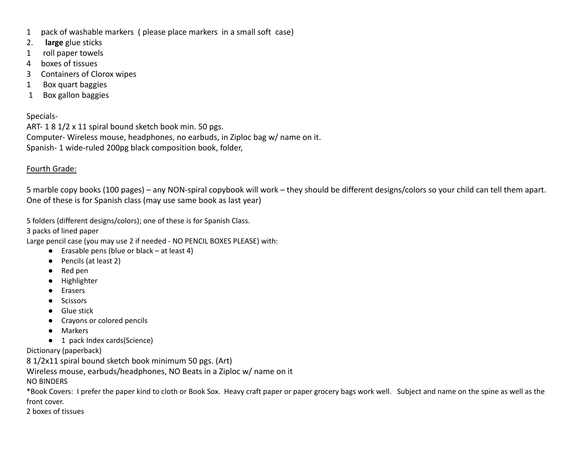- 1 pack of washable markers ( please place markers in a small soft case)
- 2. **large** glue sticks
- 1 roll paper towels
- 4 boxes of tissues
- 3 Containers of Clorox wipes
- 1 Box quart baggies
- 1 Box gallon baggies

Specials-

ART- 1 8 1/2 x 11 spiral bound sketch book min. 50 pgs. Computer- Wireless mouse, headphones, no earbuds, in Ziploc bag w/ name on it. Spanish- 1 wide-ruled 200pg black composition book, folder,

#### Fourth Grade:

5 marble copy books (100 pages) – any NON-spiral copybook will work – they should be different designs/colors so your child can tell them apart. One of these is for Spanish class (may use same book as last year)

5 folders (different designs/colors); one of these is for Spanish Class.

3 packs of lined paper

Large pencil case (you may use 2 if needed - NO PENCIL BOXES PLEASE) with:

- $\bullet$  Erasable pens (blue or black at least 4)
- Pencils (at least 2)
- Red pen
- Highlighter
- Erasers
- Scissors
- Glue stick
- Crayons or colored pencils
- Markers
- 1 pack Index cards(Science)

Dictionary (paperback)

8 1/2x11 spiral bound sketch book minimum 50 pgs. (Art)

Wireless mouse, earbuds/headphones, NO Beats in a Ziploc w/ name on it

NO BINDERS

\*Book Covers: I prefer the paper kind to cloth or Book Sox. Heavy craft paper or paper grocery bags work well. Subject and name on the spine as well as the front cover.

2 boxes of tissues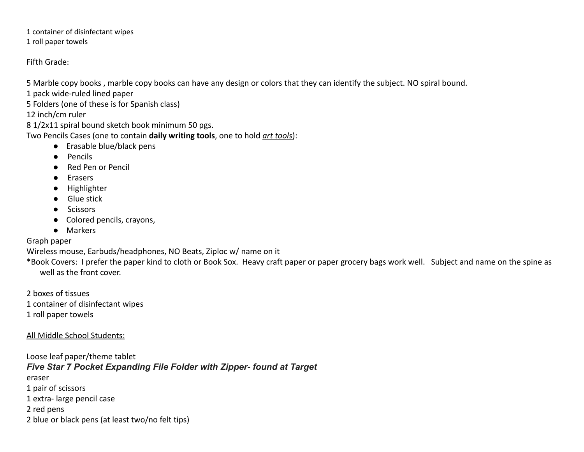1 container of disinfectant wipes

1 roll paper towels

#### Fifth Grade:

5 Marble copy books , marble copy books can have any design or colors that they can identify the subject. NO spiral bound.

1 pack wide-ruled lined paper

5 Folders (one of these is for Spanish class)

12 inch/cm ruler

8 1/2x11 spiral bound sketch book minimum 50 pgs.

Two Pencils Cases (one to contain **daily writing tools**, one to hold *art tools*):

- Erasable blue/black pens
- Pencils
- Red Pen or Pencil
- Erasers
- Highlighter
- Glue stick
- Scissors
- Colored pencils, crayons,
- Markers

## Graph paper

Wireless mouse, Earbuds/headphones, NO Beats, Ziploc w/ name on it

\*Book Covers: I prefer the paper kind to cloth or Book Sox. Heavy craft paper or paper grocery bags work well. Subject and name on the spine as well as the front cover.

2 boxes of tissues 1 container of disinfectant wipes

1 roll paper towels

## All Middle School Students:

Loose leaf paper/theme tablet *Five Star 7 Pocket Expanding File Folder with Zipper- found at Target* eraser 1 pair of scissors 1 extra- large pencil case 2 red pens 2 blue or black pens (at least two/no felt tips)